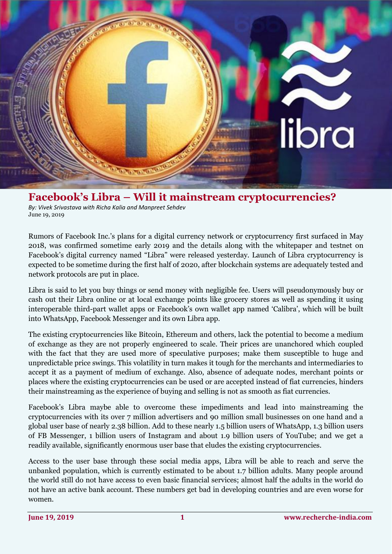

## **Facebook's Libra – Will it mainstream cryptocurrencies?**

*By: Vivek Srivastava with Richa Kalia and Manpreet Sehdev* June 19, 2019

Rumors of Facebook Inc.'s plans for a digital currency network or cryptocurrency first surfaced in May 2018, was confirmed sometime early 2019 and the details along with the whitepaper and testnet on Facebook's digital currency named "Libra" were released yesterday. Launch of Libra cryptocurrency is expected to be sometime during the first half of 2020, after blockchain systems are adequately tested and network protocols are put in place.

Libra is said to let you buy things or send money with negligible fee. Users will pseudonymously buy or cash out their Libra online or at local exchange points like grocery stores as well as spending it using interoperable third-part wallet apps or Facebook's own wallet app named 'Calibra', which will be built into WhatsApp, Facebook Messenger and its own Libra app.

The existing cryptocurrencies like Bitcoin, Ethereum and others, lack the potential to become a medium of exchange as they are not properly engineered to scale. Their prices are unanchored which coupled with the fact that they are used more of speculative purposes; make them susceptible to huge and unpredictable price swings. This volatility in turn makes it tough for the merchants and intermediaries to accept it as a payment of medium of exchange. Also, absence of adequate nodes, merchant points or places where the existing cryptocurrencies can be used or are accepted instead of fiat currencies, hinders their mainstreaming as the experience of buying and selling is not as smooth as fiat currencies.

Facebook's Libra maybe able to overcome these impediments and lead into mainstreaming the cryptocurrencies with its over 7 million advertisers and 90 million small businesses on one hand and a global user base of nearly 2.38 billion. Add to these nearly 1.5 billion users of WhatsApp, 1.3 billion users of FB Messenger, 1 billion users of Instagram and about 1.9 billion users of YouTube; and we get a readily available, significantly enormous user base that eludes the existing cryptocurrencies.

Access to the user base through these social media apps, Libra will be able to reach and serve the unbanked population, which is currently estimated to be about 1.7 billion adults. Many people around the world still do not have access to even basic financial services; almost half the adults in the world do not have an active bank account. These numbers get bad in developing countries and are even worse for women.